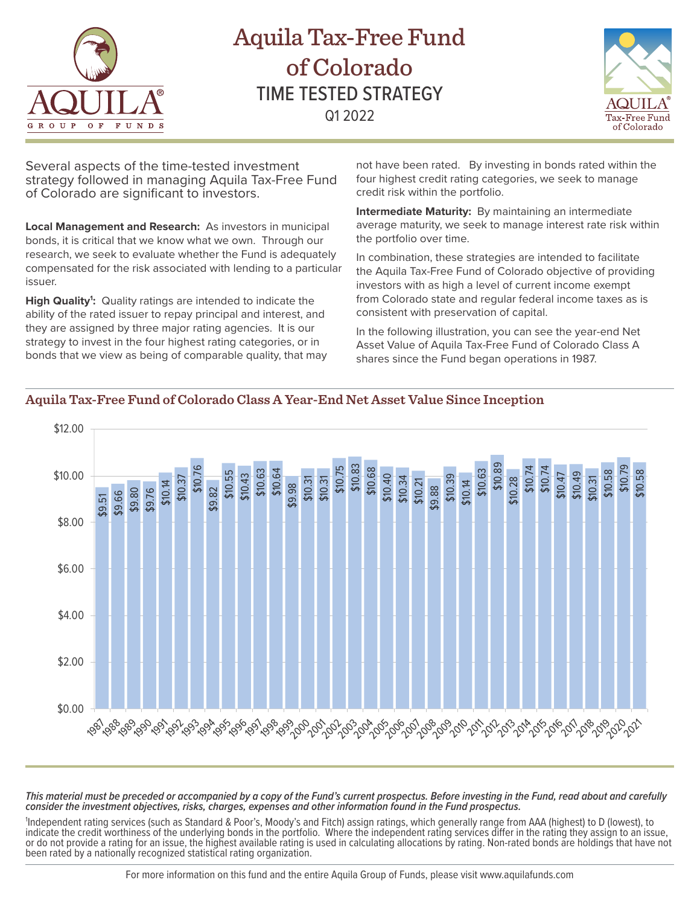

# Aquila Tax-Free Fund of Colorado TIME TESTED STRATEGY Q1 2022



Several aspects of the time-tested investment strategy followed in managing Aquila Tax-Free Fund of Colorado are significant to investors.

**Local Management and Research:** As investors in municipal bonds, it is critical that we know what we own. Through our research, we seek to evaluate whether the Fund is adequately compensated for the risk associated with lending to a particular issuer.

High Quality<sup>1</sup>: Quality ratings are intended to indicate the ability of the rated issuer to repay principal and interest, and they are assigned by three major rating agencies. It is our strategy to invest in the four highest rating categories, or in bonds that we view as being of comparable quality, that may not have been rated. By investing in bonds rated within the four highest credit rating categories, we seek to manage credit risk within the portfolio.

**Intermediate Maturity:** By maintaining an intermediate average maturity, we seek to manage interest rate risk within the portfolio over time.

In combination, these strategies are intended to facilitate the Aquila Tax-Free Fund of Colorado objective of providing investors with as high a level of current income exempt from Colorado state and regular federal income taxes as is consistent with preservation of capital.

In the following illustration, you can see the year-end Net Asset Value of Aquila Tax-Free Fund of Colorado Class A shares since the Fund began operations in 1987.

#### \$12.00 \$10.79 \$10.76 \$10.89 \$10.83 \$10.68 \$10.63 \$10.63 \$10.58 \$10.58 \$10.00 \$10.64 \$10.49 \$10.43 \$10.75 \$10.74 \$10.7 \$10.37 \$10.31 \$10.40 \$10.39 \$10.28 \$10.47 \$10.31 \$10.34 \$10.31 \$10.21 \$10.14 \$10.14 \$10.55 \$9.98 \$9.88 \$9.82 \$9.80 \$9.76 \$9.66 \$9.51 \$8.00 \$6.00 \$4.00 \$2.00 \$0.00 *'ళిస్త్రిపోత్సిత్మ 'త్మ'త్మ'త్మ' రిస్త్రీర్చేల్చడి 'రిఫీర్మీర్చేల్చోర్మ'ల్ స్కోర్చుల్చడి రేడ్డర్కోర్మన్ రెస్టర్*

## **Aquila Tax-Free Fund of Colorado Class A Year-End Net Asset Value Since Inception**

*This material must be preceded or accompanied by a copy of the Fund's current prospectus. Before investing in the Fund, read about and carefully consider the investment objectives, risks, charges, expenses and other information found in the Fund prospectus.* 

1 Independent rating services (such as Standard & Poor's, Moody's and Fitch) assign ratings, which generally range from AAA (highest) to D (lowest), to indicate the credit worthiness of the underlying bonds in the portfolio. Where the independent rating services differ in the rating they assign to an issue, or do not provide a rating for an issue, the highest available rating is used in calculating allocations by rating. Non-rated bonds are holdings that have not been rated by a nationally recognized statistical rating organization.